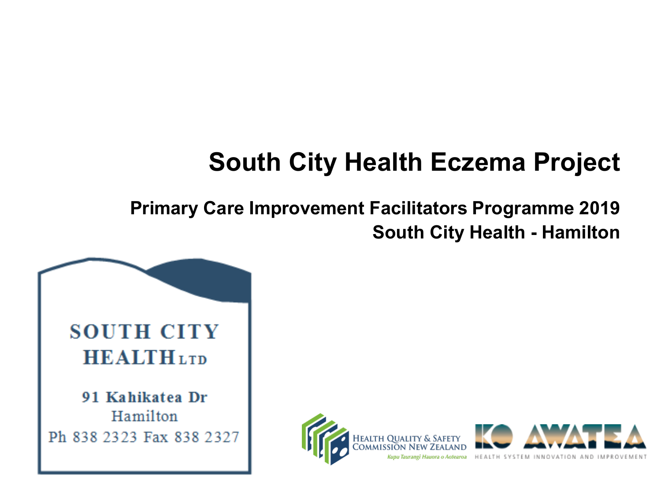#### **South City Health Eczema Project**

#### **Primary Care Improvement Facilitators Programme 2019 South City Health - Hamilton**

**SOUTH CITY HEALTHLTD** 

91 Kahikatea Dr Hamilton Ph 838 2323 Fax 838 2327



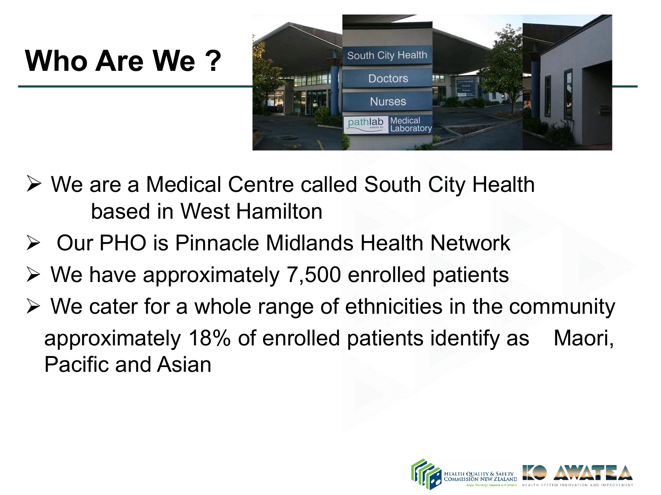# **Who Are We ?**



- We are a Medical Centre called South City Health based in West Hamilton
- Our PHO is Pinnacle Midlands Health Network
- $\triangleright$  We have approximately 7,500 enrolled patients
- $\triangleright$  We cater for a whole range of ethnicities in the community approximately 18% of enrolled patients identify as Maori, Pacific and Asian

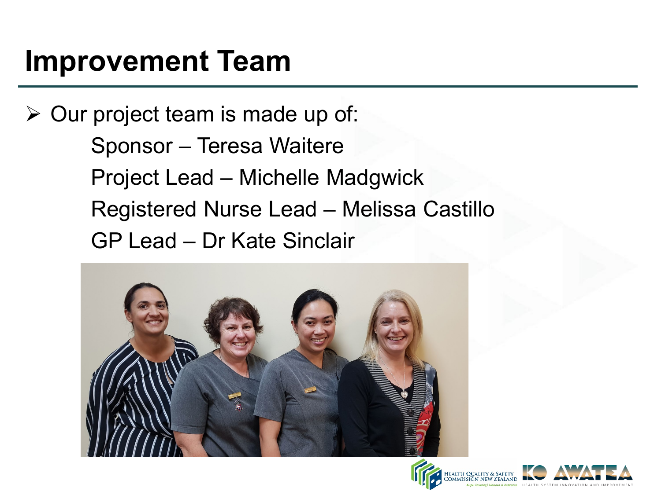#### **Improvement Team**

 $\triangleright$  Our project team is made up of: Sponsor – Teresa Waitere Project Lead – Michelle Madgwick Registered Nurse Lead – Melissa Castillo GP Lead – Dr Kate Sinclair



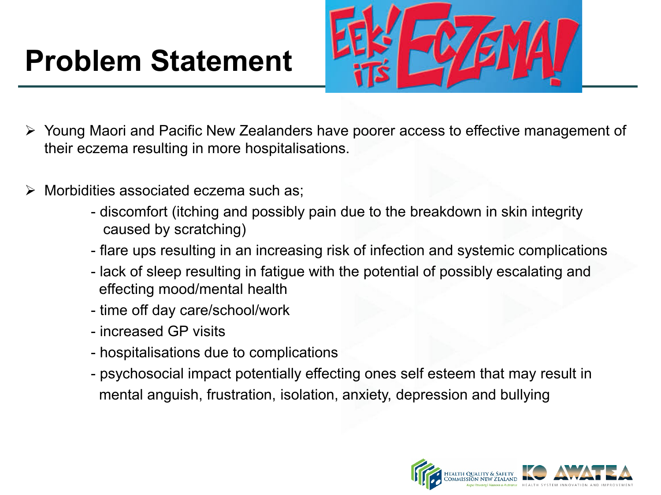## **Problem Statement**



- Young Maori and Pacific New Zealanders have poorer access to effective management of their eczema resulting in more hospitalisations.
- Morbidities associated eczema such as;
	- discomfort (itching and possibly pain due to the breakdown in skin integrity caused by scratching)
	- flare ups resulting in an increasing risk of infection and systemic complications
	- lack of sleep resulting in fatigue with the potential of possibly escalating and effecting mood/mental health
	- time off day care/school/work
	- increased GP visits
	- hospitalisations due to complications
	- psychosocial impact potentially effecting ones self esteem that may result in mental anguish, frustration, isolation, anxiety, depression and bullying

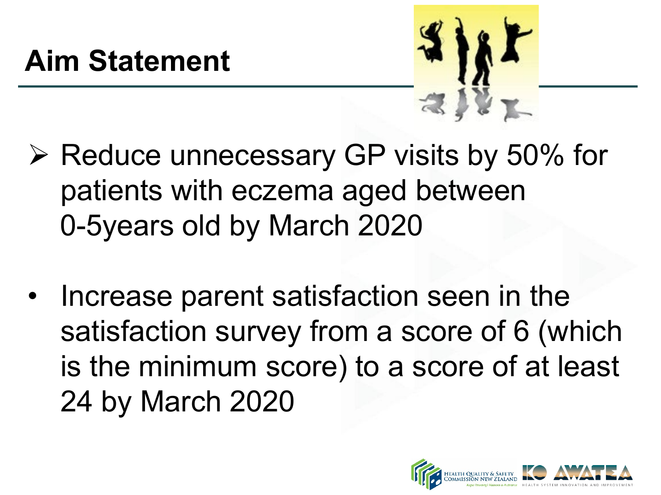

- Reduce unnecessary GP visits by 50% for patients with eczema aged between 0-5years old by March 2020
- Increase parent satisfaction seen in the satisfaction survey from a score of 6 (which is the minimum score) to a score of at least 24 by March 2020

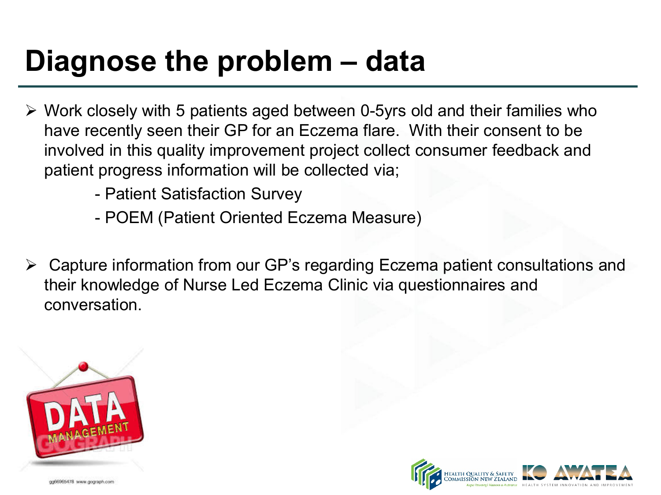#### **Diagnose the problem – data**

- $\triangleright$  Work closely with 5 patients aged between 0-5yrs old and their families who have recently seen their GP for an Eczema flare. With their consent to be involved in this quality improvement project collect consumer feedback and patient progress information will be collected via;
	- Patient Satisfaction Survey
	- POEM (Patient Oriented Eczema Measure)
- Capture information from our GP's regarding Eczema patient consultations and their knowledge of Nurse Led Eczema Clinic via questionnaires and conversation.



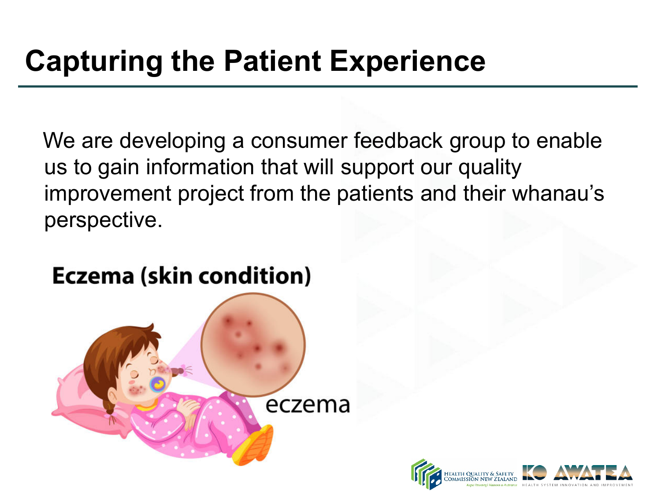We are developing a consumer feedback group to enable us to gain information that will support our quality improvement project from the patients and their whanau's perspective.

#### **Eczema (skin condition)**



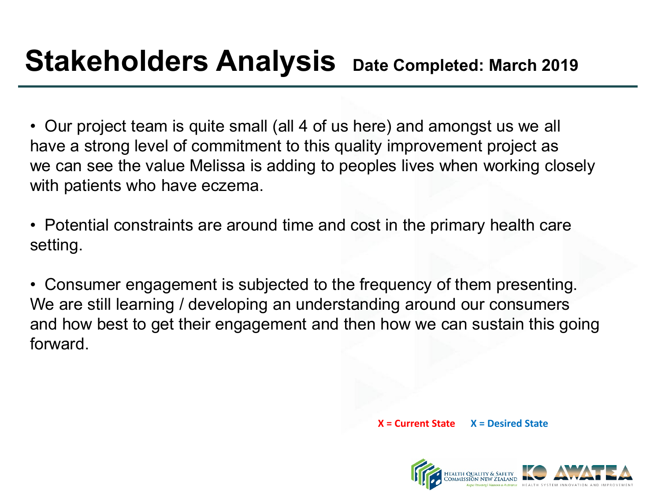• Our project team is quite small (all 4 of us here) and amongst us we all have a strong level of commitment to this quality improvement project as we can see the value Melissa is adding to peoples lives when working closely with patients who have eczema.

• Potential constraints are around time and cost in the primary health care setting.

• Consumer engagement is subjected to the frequency of them presenting. We are still learning / developing an understanding around our consumers and how best to get their engagement and then how we can sustain this going forward.

**X = Current State X = Desired State**

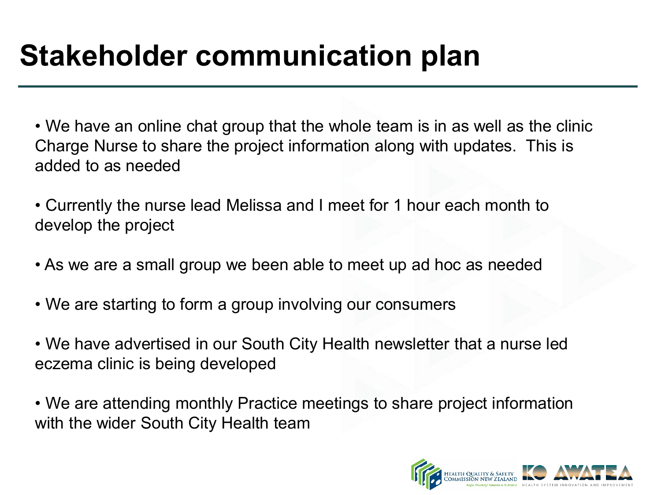# **Stakeholder communication plan**

• We have an online chat group that the whole team is in as well as the clinic Charge Nurse to share the project information along with updates. This is added to as needed

• Currently the nurse lead Melissa and I meet for 1 hour each month to develop the project

- As we are a small group we been able to meet up ad hoc as needed
- We are starting to form a group involving our consumers
- We have advertised in our South City Health newsletter that a nurse led eczema clinic is being developed

• We are attending monthly Practice meetings to share project information with the wider South City Health team

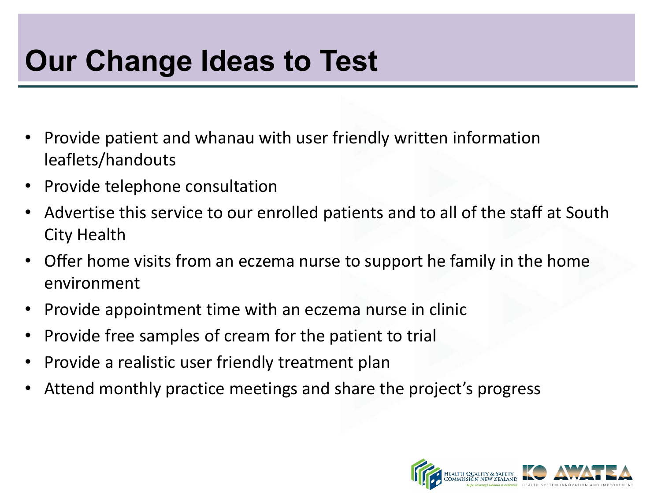## **Our Change Ideas to Test**

- Provide patient and whanau with user friendly written information leaflets/handouts
- Provide telephone consultation
- Advertise this service to our enrolled patients and to all of the staff at South City Health
- Offer home visits from an eczema nurse to support he family in the home environment
- Provide appointment time with an eczema nurse in clinic
- Provide free samples of cream for the patient to trial
- Provide a realistic user friendly treatment plan
- Attend monthly practice meetings and share the project's progress

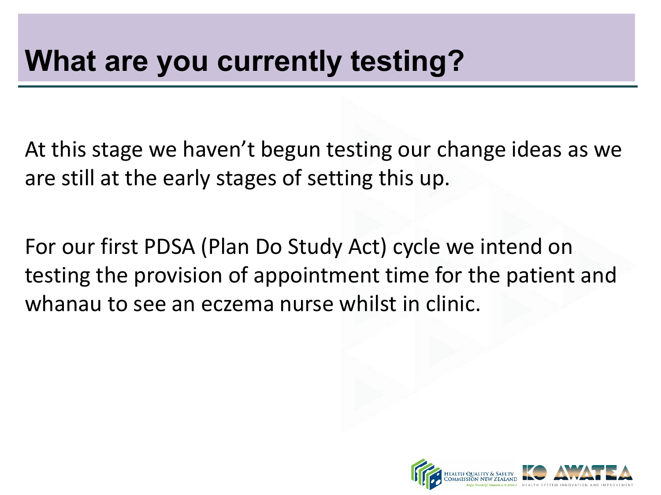At this stage we haven't begun testing our change ideas as we are still at the early stages of setting this up.

For our first PDSA (Plan Do Study Act) cycle we intend on testing the provision of appointment time for the patient and whanau to see an eczema nurse whilst in clinic.

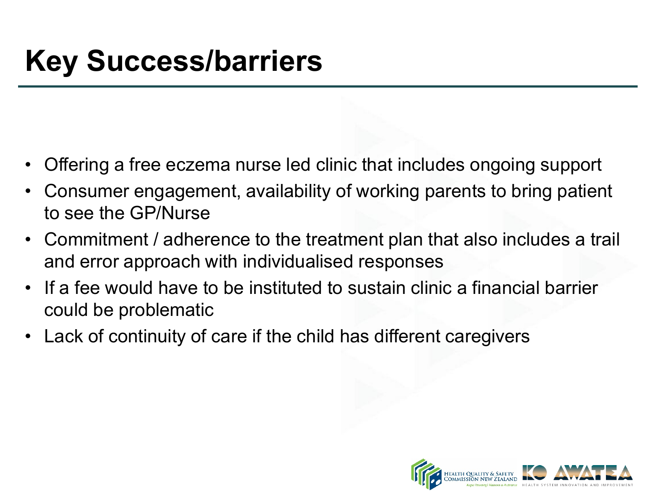- Offering a free eczema nurse led clinic that includes ongoing support
- Consumer engagement, availability of working parents to bring patient to see the GP/Nurse
- Commitment / adherence to the treatment plan that also includes a trail and error approach with individualised responses
- If a fee would have to be instituted to sustain clinic a financial barrier could be problematic
- Lack of continuity of care if the child has different caregivers